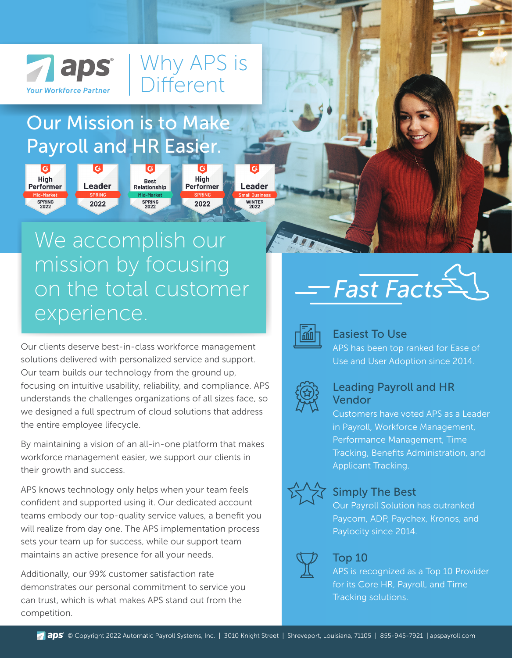

**High** 

**Performer** 

**SPRING**<br>2022

## Our Mission is to Make Payroll and HR Easier.

**Leader** 

2022

Why APS is

**High** 

**Performer** 

2022

**Leader** 

**WINTER**<br>2022

Different

# We accomplish our mission by focusing on the total customer experience.

**Best** 

Relationship

**SPRING**<br>2022

Our clients deserve best-in-class workforce management solutions delivered with personalized service and support. Our team builds our technology from the ground up, focusing on intuitive usability, reliability, and compliance. APS understands the challenges organizations of all sizes face, so we designed a full spectrum of cloud solutions that address the entire employee lifecycle.

By maintaining a vision of an all-in-one platform that makes workforce management easier, we support our clients in their growth and success.

APS knows technology only helps when your team feels confident and supported using it. Our dedicated account teams embody our top-quality service values, a benefit you will realize from day one. The APS implementation process sets your team up for success, while our support team maintains an active presence for all your needs.

Additionally, our 99% customer satisfaction rate demonstrates our personal commitment to service you can trust, which is what makes APS stand out from the competition.

# *Fast Facts*



#### Easiest To Use

APS has been top ranked for Ease of Use and User Adoption since 2014.



#### Leading Payroll and HR Vendor

Customers have voted APS as a Leader in Payroll, Workforce Management, Performance Management, Time Tracking, Benefits Administration, and Applicant Tracking.



#### Simply The Best

Our Payroll Solution has outranked Paycom, ADP, Paychex, Kronos, and Paylocity since 2014.



#### Top 10

APS is recognized as a Top 10 Provider for its Core HR, Payroll, and Time Tracking solutions.